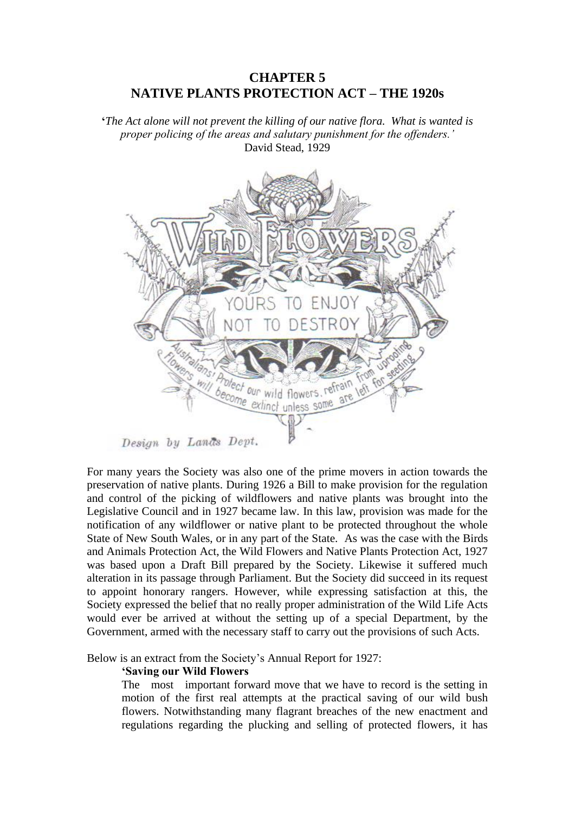# **CHAPTER 5 NATIVE PLANTS PROTECTION ACT – THE 1920s**

**'***The Act alone will not prevent the killing of our native flora. What is wanted is proper policing of the areas and salutary punishment for the offenders.'* David Stead, 1929



For many years the Society was also one of the prime movers in action towards the preservation of native plants. During 1926 a Bill to make provision for the regulation and control of the picking of wildflowers and native plants was brought into the Legislative Council and in 1927 became law. In this law, provision was made for the notification of any wildflower or native plant to be protected throughout the whole State of New South Wales, or in any part of the State. As was the case with the Birds and Animals Protection Act, the Wild Flowers and Native Plants Protection Act, 1927 was based upon a Draft Bill prepared by the Society. Likewise it suffered much alteration in its passage through Parliament. But the Society did succeed in its request to appoint honorary rangers. However, while expressing satisfaction at this, the Society expressed the belief that no really proper administration of the Wild Life Acts would ever be arrived at without the setting up of a special Department, by the Government, armed with the necessary staff to carry out the provisions of such Acts.

Below is an extract from the Society's Annual Report for 1927:

# **'Saving our Wild Flowers**

The most important forward move that we have to record is the setting in motion of the first real attempts at the practical saving of our wild bush flowers. Notwithstanding many flagrant breaches of the new enactment and regulations regarding the plucking and selling of protected flowers, it has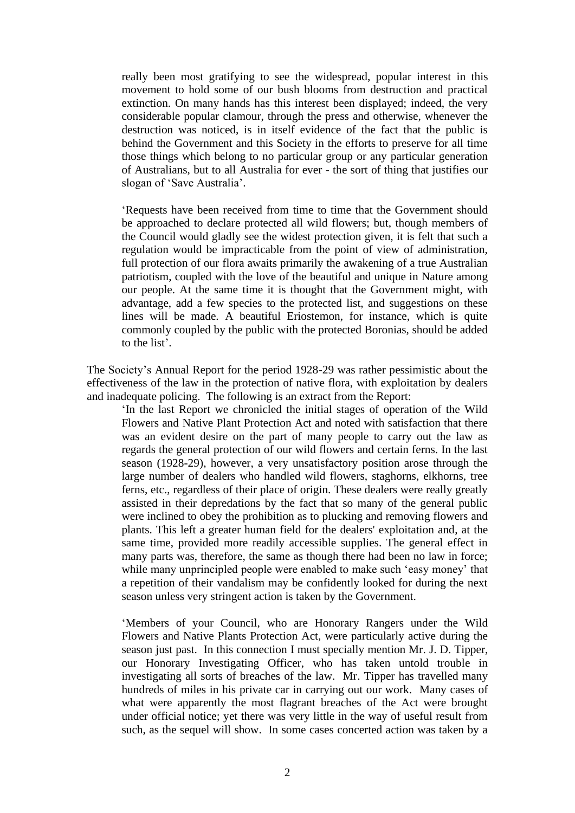really been most gratifying to see the widespread, popular interest in this movement to hold some of our bush blooms from destruction and practical extinction. On many hands has this interest been displayed; indeed, the very considerable popular clamour, through the press and otherwise, whenever the destruction was noticed, is in itself evidence of the fact that the public is behind the Government and this Society in the efforts to preserve for all time those things which belong to no particular group or any particular generation of Australians, but to all Australia for ever - the sort of thing that justifies our slogan of 'Save Australia'.

'Requests have been received from time to time that the Government should be approached to declare protected all wild flowers; but, though members of the Council would gladly see the widest protection given, it is felt that such a regulation would be impracticable from the point of view of administration, full protection of our flora awaits primarily the awakening of a true Australian patriotism, coupled with the love of the beautiful and unique in Nature among our people. At the same time it is thought that the Government might, with advantage, add a few species to the protected list, and suggestions on these lines will be made. A beautiful Eriostemon, for instance, which is quite commonly coupled by the public with the protected Boronias, should be added to the list'.

The Society's Annual Report for the period 1928-29 was rather pessimistic about the effectiveness of the law in the protection of native flora, with exploitation by dealers and inadequate policing. The following is an extract from the Report:

'In the last Report we chronicled the initial stages of operation of the Wild Flowers and Native Plant Protection Act and noted with satisfaction that there was an evident desire on the part of many people to carry out the law as regards the general protection of our wild flowers and certain ferns. In the last season (1928-29), however, a very unsatisfactory position arose through the large number of dealers who handled wild flowers, staghorns, elkhorns, tree ferns, etc., regardless of their place of origin. These dealers were really greatly assisted in their depredations by the fact that so many of the general public were inclined to obey the prohibition as to plucking and removing flowers and plants. This left a greater human field for the dealers' exploitation and, at the same time, provided more readily accessible supplies. The general effect in many parts was, therefore, the same as though there had been no law in force; while many unprincipled people were enabled to make such 'easy money' that a repetition of their vandalism may be confidently looked for during the next season unless very stringent action is taken by the Government.

'Members of your Council, who are Honorary Rangers under the Wild Flowers and Native Plants Protection Act, were particularly active during the season just past. In this connection I must specially mention Mr. J. D. Tipper, our Honorary Investigating Officer, who has taken untold trouble in investigating all sorts of breaches of the law. Mr. Tipper has travelled many hundreds of miles in his private car in carrying out our work. Many cases of what were apparently the most flagrant breaches of the Act were brought under official notice; yet there was very little in the way of useful result from such, as the sequel will show. In some cases concerted action was taken by a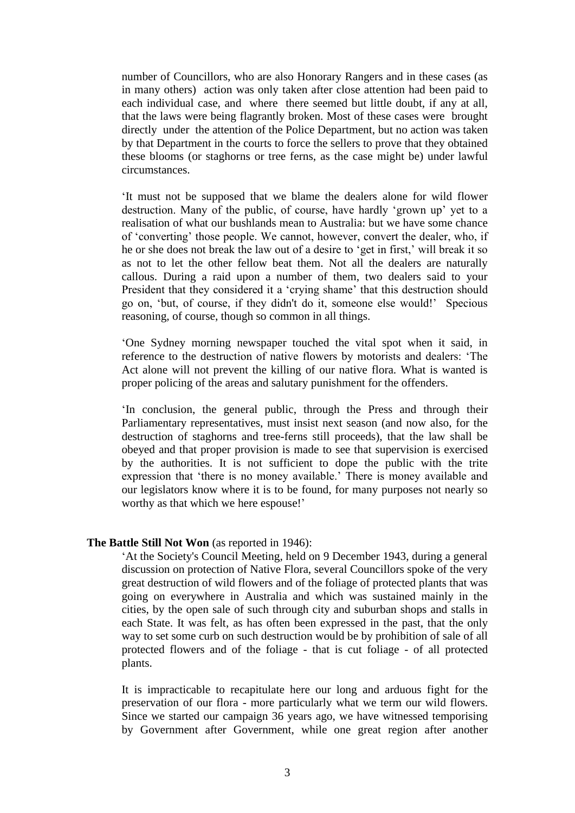number of Councillors, who are also Honorary Rangers and in these cases (as in many others) action was only taken after close attention had been paid to each individual case, and where there seemed but little doubt, if any at all, that the laws were being flagrantly broken. Most of these cases were brought directly under the attention of the Police Department, but no action was taken by that Department in the courts to force the sellers to prove that they obtained these blooms (or staghorns or tree ferns, as the case might be) under lawful circumstances.

'It must not be supposed that we blame the dealers alone for wild flower destruction. Many of the public, of course, have hardly 'grown up' yet to a realisation of what our bushlands mean to Australia: but we have some chance of 'converting' those people. We cannot, however, convert the dealer, who, if he or she does not break the law out of a desire to 'get in first,' will break it so as not to let the other fellow beat them. Not all the dealers are naturally callous. During a raid upon a number of them, two dealers said to your President that they considered it a 'crying shame' that this destruction should go on, 'but, of course, if they didn't do it, someone else would!' Specious reasoning, of course, though so common in all things.

'One Sydney morning newspaper touched the vital spot when it said, in reference to the destruction of native flowers by motorists and dealers: 'The Act alone will not prevent the killing of our native flora. What is wanted is proper policing of the areas and salutary punishment for the offenders.

'In conclusion, the general public, through the Press and through their Parliamentary representatives, must insist next season (and now also, for the destruction of staghorns and tree-ferns still proceeds), that the law shall be obeyed and that proper provision is made to see that supervision is exercised by the authorities. It is not sufficient to dope the public with the trite expression that 'there is no money available.' There is money available and our legislators know where it is to be found, for many purposes not nearly so worthy as that which we here espouse!'

## **The Battle Still Not Won** (as reported in 1946):

'At the Society's Council Meeting, held on 9 December 1943, during a general discussion on protection of Native Flora, several Councillors spoke of the very great destruction of wild flowers and of the foliage of protected plants that was going on everywhere in Australia and which was sustained mainly in the cities, by the open sale of such through city and suburban shops and stalls in each State. It was felt, as has often been expressed in the past, that the only way to set some curb on such destruction would be by prohibition of sale of all protected flowers and of the foliage - that is cut foliage - of all protected plants.

It is impracticable to recapitulate here our long and arduous fight for the preservation of our flora - more particularly what we term our wild flowers. Since we started our campaign 36 years ago, we have witnessed temporising by Government after Government, while one great region after another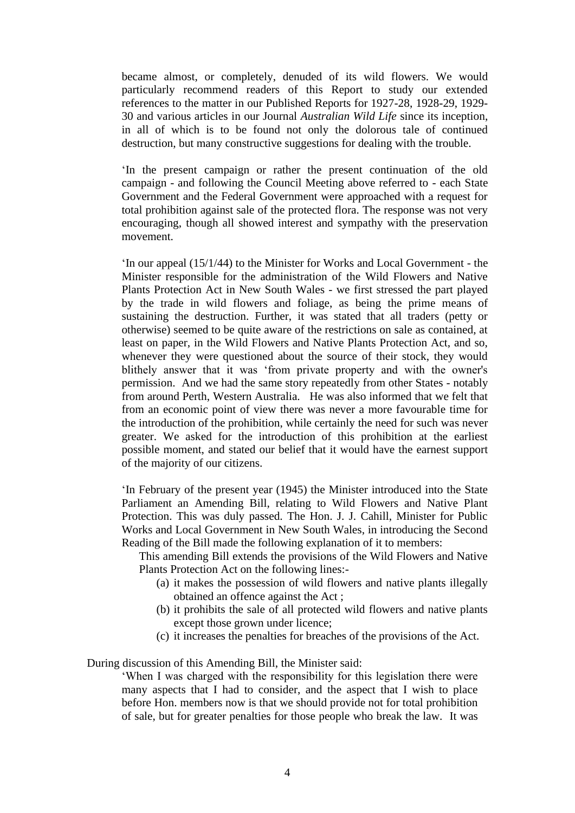became almost, or completely, denuded of its wild flowers. We would particularly recommend readers of this Report to study our extended references to the matter in our Published Reports for 1927-28, 1928-29, 1929- 30 and various articles in our Journal *Australian Wild Life* since its inception, in all of which is to be found not only the dolorous tale of continued destruction, but many constructive suggestions for dealing with the trouble.

'In the present campaign or rather the present continuation of the old campaign - and following the Council Meeting above referred to - each State Government and the Federal Government were approached with a request for total prohibition against sale of the protected flora. The response was not very encouraging, though all showed interest and sympathy with the preservation movement.

'In our appeal (15/1/44) to the Minister for Works and Local Government - the Minister responsible for the administration of the Wild Flowers and Native Plants Protection Act in New South Wales - we first stressed the part played by the trade in wild flowers and foliage, as being the prime means of sustaining the destruction. Further, it was stated that all traders (petty or otherwise) seemed to be quite aware of the restrictions on sale as contained, at least on paper, in the Wild Flowers and Native Plants Protection Act, and so, whenever they were questioned about the source of their stock, they would blithely answer that it was 'from private property and with the owner's permission. And we had the same story repeatedly from other States - notably from around Perth, Western Australia. He was also informed that we felt that from an economic point of view there was never a more favourable time for the introduction of the prohibition, while certainly the need for such was never greater. We asked for the introduction of this prohibition at the earliest possible moment, and stated our belief that it would have the earnest support of the majority of our citizens.

'In February of the present year (1945) the Minister introduced into the State Parliament an Amending Bill, relating to Wild Flowers and Native Plant Protection. This was duly passed. The Hon. J. J. Cahill, Minister for Public Works and Local Government in New South Wales, in introducing the Second Reading of the Bill made the following explanation of it to members:

This amending Bill extends the provisions of the Wild Flowers and Native Plants Protection Act on the following lines:-

- (a) it makes the possession of wild flowers and native plants illegally obtained an offence against the Act ;
- (b) it prohibits the sale of all protected wild flowers and native plants except those grown under licence;
- (c) it increases the penalties for breaches of the provisions of the Act.

During discussion of this Amending Bill, the Minister said:

'When I was charged with the responsibility for this legislation there were many aspects that I had to consider, and the aspect that I wish to place before Hon. members now is that we should provide not for total prohibition of sale, but for greater penalties for those people who break the law. It was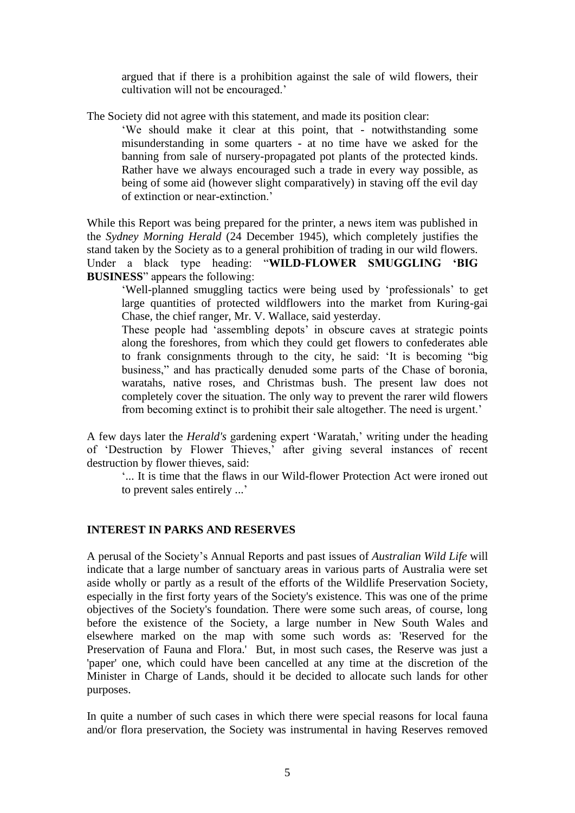argued that if there is a prohibition against the sale of wild flowers, their cultivation will not be encouraged.'

The Society did not agree with this statement, and made its position clear:

'We should make it clear at this point, that - notwithstanding some misunderstanding in some quarters - at no time have we asked for the banning from sale of nursery-propagated pot plants of the protected kinds. Rather have we always encouraged such a trade in every way possible, as being of some aid (however slight comparatively) in staving off the evil day of extinction or near-extinction.'

While this Report was being prepared for the printer, a news item was published in the *Sydney Morning Herald* (24 December 1945), which completely justifies the stand taken by the Society as to a general prohibition of trading in our wild flowers. Under a black type heading: "**WILD-FLOWER SMUGGLING 'BIG BUSINESS**" appears the following:

'Well-planned smuggling tactics were being used by 'professionals' to get large quantities of protected wildflowers into the market from Kuring-gai Chase, the chief ranger, Mr. V. Wallace, said yesterday.

These people had 'assembling depots' in obscure caves at strategic points along the foreshores, from which they could get flowers to confederates able to frank consignments through to the city, he said: 'It is becoming "big business," and has practically denuded some parts of the Chase of boronia, waratahs, native roses, and Christmas bush. The present law does not completely cover the situation. The only way to prevent the rarer wild flowers from becoming extinct is to prohibit their sale altogether. The need is urgent.'

A few days later the *Herald's* gardening expert 'Waratah,' writing under the heading of 'Destruction by Flower Thieves,' after giving several instances of recent destruction by flower thieves, said:

'... It is time that the flaws in our Wild-flower Protection Act were ironed out to prevent sales entirely ...'

## **INTEREST IN PARKS AND RESERVES**

A perusal of the Society's Annual Reports and past issues of *Australian Wild Life* will indicate that a large number of sanctuary areas in various parts of Australia were set aside wholly or partly as a result of the efforts of the Wildlife Preservation Society, especially in the first forty years of the Society's existence. This was one of the prime objectives of the Society's foundation. There were some such areas, of course, long before the existence of the Society, a large number in New South Wales and elsewhere marked on the map with some such words as: 'Reserved for the Preservation of Fauna and Flora.' But, in most such cases, the Reserve was just a 'paper' one, which could have been cancelled at any time at the discretion of the Minister in Charge of Lands, should it be decided to allocate such lands for other purposes.

In quite a number of such cases in which there were special reasons for local fauna and/or flora preservation, the Society was instrumental in having Reserves removed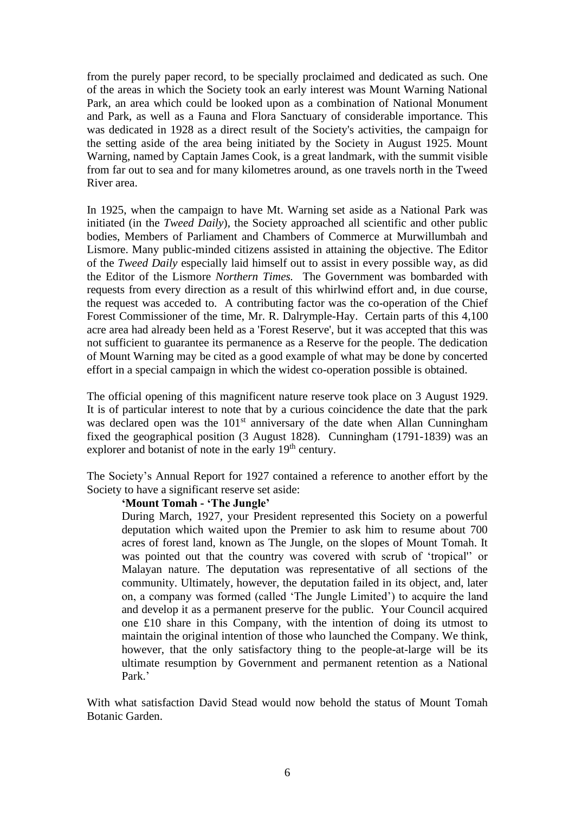from the purely paper record, to be specially proclaimed and dedicated as such. One of the areas in which the Society took an early interest was Mount Warning National Park, an area which could be looked upon as a combination of National Monument and Park, as well as a Fauna and Flora Sanctuary of considerable importance. This was dedicated in 1928 as a direct result of the Society's activities, the campaign for the setting aside of the area being initiated by the Society in August 1925. Mount Warning, named by Captain James Cook, is a great landmark, with the summit visible from far out to sea and for many kilometres around, as one travels north in the Tweed River area.

In 1925, when the campaign to have Mt. Warning set aside as a National Park was initiated (in the *Tweed Daily*), the Society approached all scientific and other public bodies, Members of Parliament and Chambers of Commerce at Murwillumbah and Lismore. Many public-minded citizens assisted in attaining the objective. The Editor of the *Tweed Daily* especially laid himself out to assist in every possible way, as did the Editor of the Lismore *Northern Times.* The Government was bombarded with requests from every direction as a result of this whirlwind effort and, in due course, the request was acceded to. A contributing factor was the co-operation of the Chief Forest Commissioner of the time, Mr. R. Dalrymple-Hay. Certain parts of this 4,100 acre area had already been held as a 'Forest Reserve', but it was accepted that this was not sufficient to guarantee its permanence as a Reserve for the people. The dedication of Mount Warning may be cited as a good example of what may be done by concerted effort in a special campaign in which the widest co-operation possible is obtained.

The official opening of this magnificent nature reserve took place on 3 August 1929. It is of particular interest to note that by a curious coincidence the date that the park was declared open was the 101<sup>st</sup> anniversary of the date when Allan Cunningham fixed the geographical position (3 August 1828). Cunningham (1791-1839) was an explorer and botanist of note in the early 19<sup>th</sup> century.

The Society's Annual Report for 1927 contained a reference to another effort by the Society to have a significant reserve set aside:

# **'Mount Tomah - 'The Jungle'**

During March, 1927, your President represented this Society on a powerful deputation which waited upon the Premier to ask him to resume about 700 acres of forest land, known as The Jungle, on the slopes of Mount Tomah. It was pointed out that the country was covered with scrub of 'tropical'' or Malayan nature. The deputation was representative of all sections of the community. Ultimately, however, the deputation failed in its object, and, later on, a company was formed (called 'The Jungle Limited') to acquire the land and develop it as a permanent preserve for the public. Your Council acquired one £10 share in this Company, with the intention of doing its utmost to maintain the original intention of those who launched the Company. We think, however, that the only satisfactory thing to the people-at-large will be its ultimate resumption by Government and permanent retention as a National Park<sup>,</sup>

With what satisfaction David Stead would now behold the status of Mount Tomah Botanic Garden.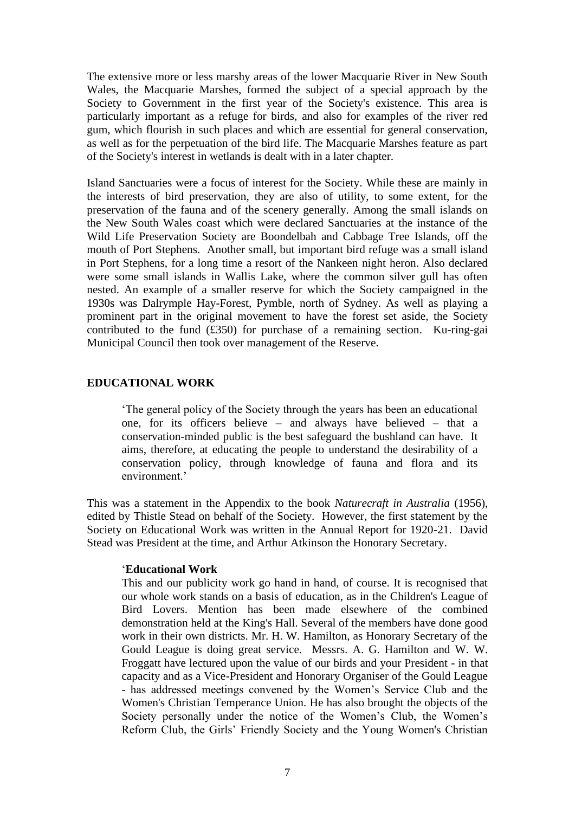The extensive more or less marshy areas of the lower Macquarie River in New South Wales, the Macquarie Marshes, formed the subject of a special approach by the Society to Government in the first year of the Society's existence. This area is particularly important as a refuge for birds, and also for examples of the river red gum, which flourish in such places and which are essential for general conservation, as well as for the perpetuation of the bird life. The Macquarie Marshes feature as part of the Society's interest in wetlands is dealt with in a later chapter.

Island Sanctuaries were a focus of interest for the Society. While these are mainly in the interests of bird preservation, they are also of utility, to some extent, for the preservation of the fauna and of the scenery generally. Among the small islands on the New South Wales coast which were declared Sanctuaries at the instance of the Wild Life Preservation Society are Boondelbah and Cabbage Tree Islands, off the mouth of Port Stephens. Another small, but important bird refuge was a small island in Port Stephens, for a long time a resort of the Nankeen night heron. Also declared were some small islands in Wallis Lake, where the common silver gull has often nested. An example of a smaller reserve for which the Society campaigned in the 1930s was Dalrymple Hay-Forest, Pymble, north of Sydney. As well as playing a prominent part in the original movement to have the forest set aside, the Society contributed to the fund (£350) for purchase of a remaining section. Ku-ring-gai Municipal Council then took over management of the Reserve.

# **EDUCATIONAL WORK**

'The general policy of the Society through the years has been an educational one, for its officers believe – and always have believed – that a conservation-minded public is the best safeguard the bushland can have. It aims, therefore, at educating the people to understand the desirability of a conservation policy, through knowledge of fauna and flora and its environment.'

This was a statement in the Appendix to the book *Naturecraft in Australia* (1956), edited by Thistle Stead on behalf of the Society. However, the first statement by the Society on Educational Work was written in the Annual Report for 1920-21. David Stead was President at the time, and Arthur Atkinson the Honorary Secretary.

## '**Educational Work**

This and our publicity work go hand in hand, of course. It is recognised that our whole work stands on a basis of education, as in the Children's League of Bird Lovers. Mention has been made elsewhere of the combined demonstration held at the King's Hall. Several of the members have done good work in their own districts. Mr. H. W. Hamilton, as Honorary Secretary of the Gould League is doing great service. Messrs. A. G. Hamilton and W. W. Froggatt have lectured upon the value of our birds and your President - in that capacity and as a Vice-President and Honorary Organiser of the Gould League - has addressed meetings convened by the Women's Service Club and the Women's Christian Temperance Union. He has also brought the objects of the Society personally under the notice of the Women's Club, the Women's Reform Club, the Girls' Friendly Society and the Young Women's Christian